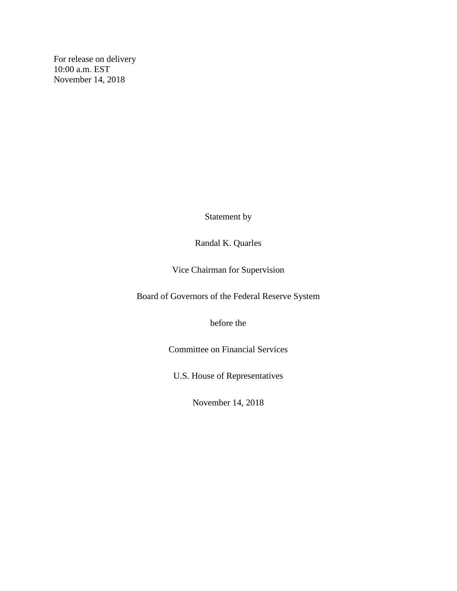For release on delivery 10:00 a.m. EST November 14, 2018

Statement by

## Randal K. Quarles

Vice Chairman for Supervision

Board of Governors of the Federal Reserve System

before the

Committee on Financial Services

U.S. House of Representatives

November 14, 2018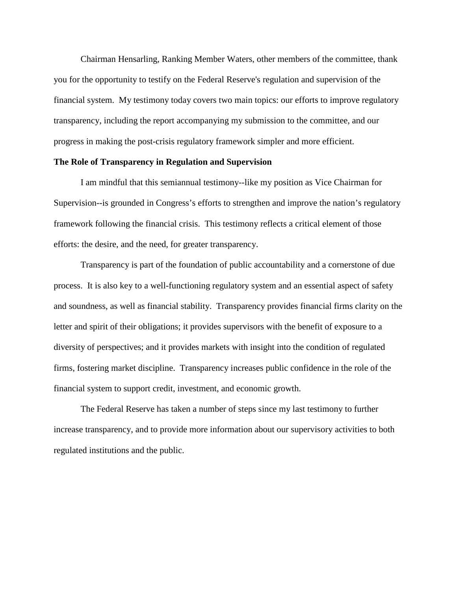Chairman Hensarling, Ranking Member Waters, other members of the committee, thank you for the opportunity to testify on the Federal Reserve's regulation and supervision of the financial system. My testimony today covers two main topics: our efforts to improve regulatory transparency, including the report accompanying my submission to the committee, and our progress in making the post-crisis regulatory framework simpler and more efficient.

## **The Role of Transparency in Regulation and Supervision**

I am mindful that this semiannual testimony--like my position as Vice Chairman for Supervision--is grounded in Congress's efforts to strengthen and improve the nation's regulatory framework following the financial crisis. This testimony reflects a critical element of those efforts: the desire, and the need, for greater transparency.

Transparency is part of the foundation of public accountability and a cornerstone of due process. It is also key to a well-functioning regulatory system and an essential aspect of safety and soundness, as well as financial stability. Transparency provides financial firms clarity on the letter and spirit of their obligations; it provides supervisors with the benefit of exposure to a diversity of perspectives; and it provides markets with insight into the condition of regulated firms, fostering market discipline. Transparency increases public confidence in the role of the financial system to support credit, investment, and economic growth.

The Federal Reserve has taken a number of steps since my last testimony to further increase transparency, and to provide more information about our supervisory activities to both regulated institutions and the public.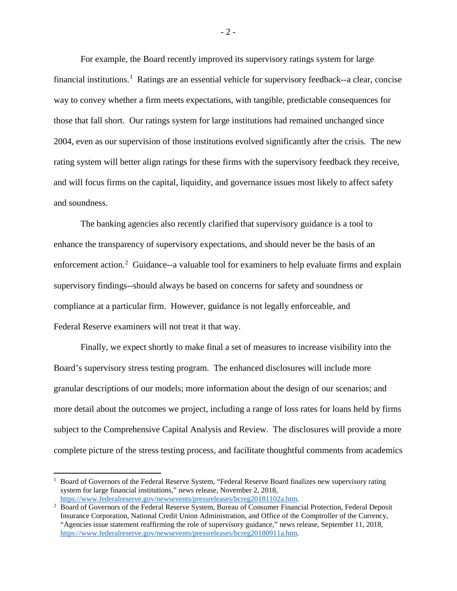For example, the Board recently improved its supervisory ratings system for large financial institutions. [1](#page-2-0) Ratings are an essential vehicle for supervisory feedback--a clear, concise way to convey whether a firm meets expectations, with tangible, predictable consequences for those that fall short. Our ratings system for large institutions had remained unchanged since 2004, even as our supervision of those institutions evolved significantly after the crisis. The new rating system will better align ratings for these firms with the supervisory feedback they receive, and will focus firms on the capital, liquidity, and governance issues most likely to affect safety and soundness.

The banking agencies also recently clarified that supervisory guidance is a tool to enhance the transparency of supervisory expectations, and should never be the basis of an enforcement action.<sup>[2](#page-2-1)</sup> Guidance--a valuable tool for examiners to help evaluate firms and explain supervisory findings--should always be based on concerns for safety and soundness or compliance at a particular firm. However, guidance is not legally enforceable, and Federal Reserve examiners will not treat it that way.

Finally, we expect shortly to make final a set of measures to increase visibility into the Board's supervisory stress testing program. The enhanced disclosures will include more granular descriptions of our models; more information about the design of our scenarios; and more detail about the outcomes we project, including a range of loss rates for loans held by firms subject to the Comprehensive Capital Analysis and Review. The disclosures will provide a more complete picture of the stress testing process, and facilitate thoughtful comments from academics

l

- 2 -

<span id="page-2-0"></span><sup>1</sup> Board of Governors of the Federal Reserve System, "Federal Reserve Board finalizes new supervisory rating system for large financial institutions," news release, November 2, 2018, [https://www.federalreserve.gov/newsevents/pressreleases/bcreg20181102a.htm.](https://www.federalreserve.gov/newsevents/pressreleases/bcreg20181102a.htm)

<span id="page-2-1"></span><sup>&</sup>lt;sup>2</sup> Board of Governors of the Federal Reserve System, Bureau of Consumer Financial Protection, Federal Deposit Insurance Corporation, National Credit Union Administration, and Office of the Comptroller of the Currency, "Agencies issue statement reaffirming the role of supervisory guidance," news release, September 11, 2018, [https://www.federalreserve.gov/newsevents/pressreleases/bcreg20180911a.htm.](https://www.federalreserve.gov/newsevents/pressreleases/bcreg20180911a.htm)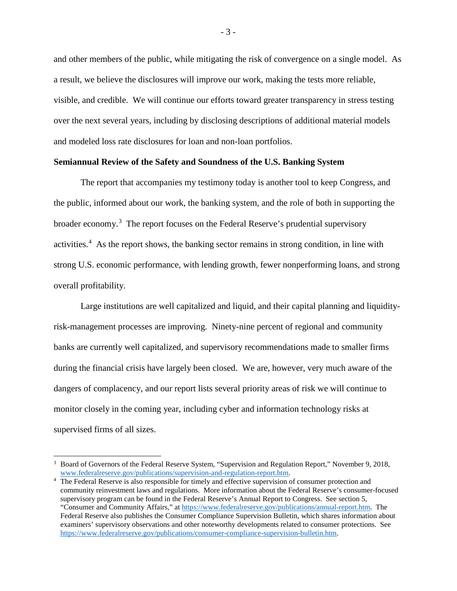and other members of the public, while mitigating the risk of convergence on a single model. As a result, we believe the disclosures will improve our work, making the tests more reliable, visible, and credible. We will continue our efforts toward greater transparency in stress testing over the next several years, including by disclosing descriptions of additional material models and modeled loss rate disclosures for loan and non-loan portfolios.

## **Semiannual Review of the Safety and Soundness of the U.S. Banking System**

The report that accompanies my testimony today is another tool to keep Congress, and the public, informed about our work, the banking system, and the role of both in supporting the broader economy.<sup>[3](#page-3-0)</sup> The report focuses on the Federal Reserve's prudential supervisory activities.<sup>[4](#page-3-1)</sup> As the report shows, the banking sector remains in strong condition, in line with strong U.S. economic performance, with lending growth, fewer nonperforming loans, and strong overall profitability.

Large institutions are well capitalized and liquid, and their capital planning and liquidityrisk-management processes are improving. Ninety-nine percent of regional and community banks are currently well capitalized, and supervisory recommendations made to smaller firms during the financial crisis have largely been closed. We are, however, very much aware of the dangers of complacency, and our report lists several priority areas of risk we will continue to monitor closely in the coming year, including cyber and information technology risks at supervised firms of all sizes.

l

<span id="page-3-0"></span><sup>3</sup> Board of Governors of the Federal Reserve System, "Supervision and Regulation Report," November 9, 2018, [www.federalreserve.gov/publications/supervision-and-regulation-report.htm.](http://www.federalreserve.gov/publications/supervision-and-regulation-report.htm)

<span id="page-3-1"></span><sup>4</sup> The Federal Reserve is also responsible for timely and effective supervision of consumer protection and community reinvestment laws and regulations. More information about the Federal Reserve's consumer-focused supervisory program can be found in the Federal Reserve's Annual Report to Congress. See section 5, "Consumer and Community Affairs," a[t https://www.federalreserve.gov/publications/annual-report.htm.](https://www.federalreserve.gov/publications/annual-report.htm) The Federal Reserve also publishes the Consumer Compliance Supervision Bulletin, which shares information about examiners' supervisory observations and other noteworthy developments related to consumer protections. See [https://www.federalreserve.gov/publications/consumer-compliance-supervision-bulletin.htm.](https://www.federalreserve.gov/publications/consumer-compliance-supervision-bulletin.htm)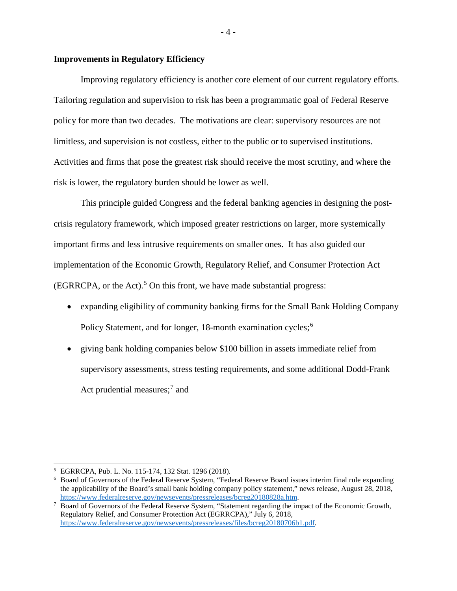## **Improvements in Regulatory Efficiency**

Improving regulatory efficiency is another core element of our current regulatory efforts. Tailoring regulation and supervision to risk has been a programmatic goal of Federal Reserve policy for more than two decades. The motivations are clear: supervisory resources are not limitless, and supervision is not costless, either to the public or to supervised institutions. Activities and firms that pose the greatest risk should receive the most scrutiny, and where the risk is lower, the regulatory burden should be lower as well.

This principle guided Congress and the federal banking agencies in designing the postcrisis regulatory framework, which imposed greater restrictions on larger, more systemically important firms and less intrusive requirements on smaller ones. It has also guided our implementation of the Economic Growth, Regulatory Relief, and Consumer Protection Act  $(EGRRCPA, or the Act)<sup>5</sup>$  $(EGRRCPA, or the Act)<sup>5</sup>$  $(EGRRCPA, or the Act)<sup>5</sup>$  On this front, we have made substantial progress:

- expanding eligibility of community banking firms for the Small Bank Holding Company Policy Statement, and for longer, 18-month examination cycles;<sup>[6](#page-4-1)</sup>
- giving bank holding companies below \$100 billion in assets immediate relief from supervisory assessments, stress testing requirements, and some additional Dodd-Frank Act prudential measures; [7](#page-4-2) and

l

- 4 -

<span id="page-4-0"></span><sup>5</sup> EGRRCPA, Pub. L. No. 115-174, 132 Stat. 1296 (2018).

<span id="page-4-1"></span><sup>6</sup> Board of Governors of the Federal Reserve System, "Federal Reserve Board issues interim final rule expanding the applicability of the Board's small bank holding company policy statement," news release, August 28, 2018, https://www.federalreserve.gov/newsevents/pressreleases/bcreg20180828a.htm.

<span id="page-4-2"></span>Board of Governors of the Federal Reserve System, "Statement regarding the impact of the Economic Growth, Regulatory Relief, and Consumer Protection Act (EGRRCPA)," July 6, 2018, [https://www.federalreserve.gov/newsevents/pressreleases/files/bcreg20180706b1.pdf.](https://www.federalreserve.gov/newsevents/pressreleases/files/bcreg20180706b1.pdf)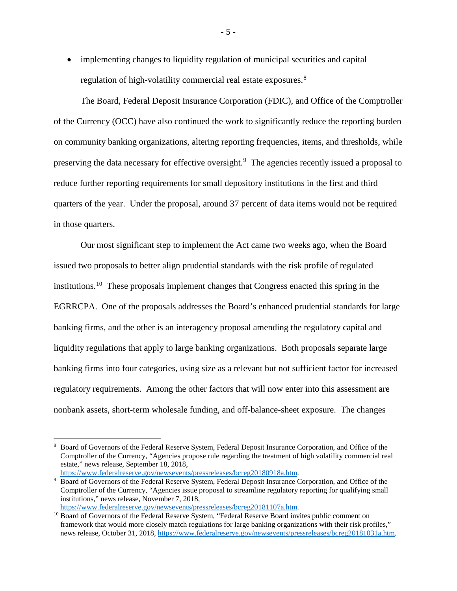• implementing changes to liquidity regulation of municipal securities and capital regulation of high-volatility commercial real estate exposures.<sup>[8](#page-5-0)</sup>

The Board, Federal Deposit Insurance Corporation (FDIC), and Office of the Comptroller of the Currency (OCC) have also continued the work to significantly reduce the reporting burden on community banking organizations, altering reporting frequencies, items, and thresholds, while preserving the data necessary for effective oversight.<sup>[9](#page-5-1)</sup> The agencies recently issued a proposal to reduce further reporting requirements for small depository institutions in the first and third quarters of the year. Under the proposal, around 37 percent of data items would not be required in those quarters.

Our most significant step to implement the Act came two weeks ago, when the Board issued two proposals to better align prudential standards with the risk profile of regulated institutions.[10](#page-5-2) These proposals implement changes that Congress enacted this spring in the EGRRCPA. One of the proposals addresses the Board's enhanced prudential standards for large banking firms, and the other is an interagency proposal amending the regulatory capital and liquidity regulations that apply to large banking organizations. Both proposals separate large banking firms into four categories, using size as a relevant but not sufficient factor for increased regulatory requirements. Among the other factors that will now enter into this assessment are nonbank assets, short-term wholesale funding, and off-balance-sheet exposure. The changes

 $\overline{\phantom{a}}$ 

- 5 -

<span id="page-5-0"></span><sup>8</sup> Board of Governors of the Federal Reserve System, Federal Deposit Insurance Corporation, and Office of the Comptroller of the Currency, "Agencies propose rule regarding the treatment of high volatility commercial real estate," news release, September 18, 2018,<br>https://www.federalreserve.gov/newsevents/pressreleases/bcreg20180918a.htm.

<span id="page-5-1"></span>Board of Governors of the Federal Reserve System, Federal Deposit Insurance Corporation, and Office of the Comptroller of the Currency, "Agencies issue proposal to streamline regulatory reporting for qualifying small institutions," news release, November 7, 2018,

<span id="page-5-2"></span>https://www.federalreserve.gov/newsevents/pressreleases/bcreg20181107a.htm.<br><sup>10</sup> Board of Governors of the Federal Reserve System, "Federal Reserve Board invites public comment on framework that would more closely match regulations for large banking organizations with their risk profiles," news release, October 31, 2018[, https://www.federalreserve.gov/newsevents/pressreleases/bcreg20181031a.htm.](https://www.federalreserve.gov/newsevents/pressreleases/bcreg20181031a.htm)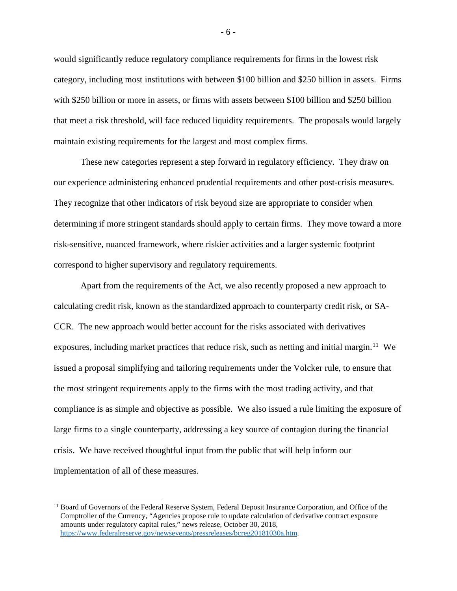would significantly reduce regulatory compliance requirements for firms in the lowest risk category, including most institutions with between \$100 billion and \$250 billion in assets. Firms with \$250 billion or more in assets, or firms with assets between \$100 billion and \$250 billion that meet a risk threshold, will face reduced liquidity requirements. The proposals would largely maintain existing requirements for the largest and most complex firms.

These new categories represent a step forward in regulatory efficiency. They draw on our experience administering enhanced prudential requirements and other post-crisis measures. They recognize that other indicators of risk beyond size are appropriate to consider when determining if more stringent standards should apply to certain firms. They move toward a more risk-sensitive, nuanced framework, where riskier activities and a larger systemic footprint correspond to higher supervisory and regulatory requirements.

Apart from the requirements of the Act, we also recently proposed a new approach to calculating credit risk, known as the standardized approach to counterparty credit risk, or SA-CCR. The new approach would better account for the risks associated with derivatives exposures, including market practices that reduce risk, such as netting and initial margin.<sup>[11](#page-6-0)</sup> We issued a proposal simplifying and tailoring requirements under the Volcker rule, to ensure that the most stringent requirements apply to the firms with the most trading activity, and that compliance is as simple and objective as possible. We also issued a rule limiting the exposure of large firms to a single counterparty, addressing a key source of contagion during the financial crisis. We have received thoughtful input from the public that will help inform our implementation of all of these measures.

l

<span id="page-6-0"></span><sup>&</sup>lt;sup>11</sup> Board of Governors of the Federal Reserve System, Federal Deposit Insurance Corporation, and Office of the Comptroller of the Currency, "Agencies propose rule to update calculation of derivative contract exposure amounts under regulatory capital rules," news release, October 30, 2018, [https://www.federalreserve.gov/newsevents/pressreleases/bcreg20181030a.htm.](https://www.federalreserve.gov/newsevents/pressreleases/bcreg20181030a.htm)